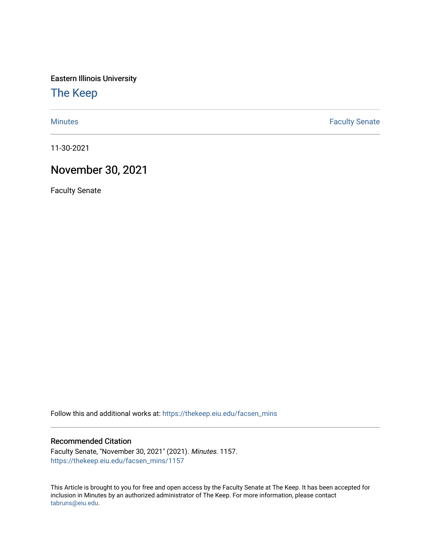Eastern Illinois University

[The Keep](https://thekeep.eiu.edu/) 

[Minutes](https://thekeep.eiu.edu/facsen_mins) **Faculty Senate** 

11-30-2021

## November 30, 2021

Faculty Senate

Follow this and additional works at: [https://thekeep.eiu.edu/facsen\\_mins](https://thekeep.eiu.edu/facsen_mins?utm_source=thekeep.eiu.edu%2Ffacsen_mins%2F1157&utm_medium=PDF&utm_campaign=PDFCoverPages) 

## Recommended Citation

Faculty Senate, "November 30, 2021" (2021). Minutes. 1157. [https://thekeep.eiu.edu/facsen\\_mins/1157](https://thekeep.eiu.edu/facsen_mins/1157?utm_source=thekeep.eiu.edu%2Ffacsen_mins%2F1157&utm_medium=PDF&utm_campaign=PDFCoverPages) 

This Article is brought to you for free and open access by the Faculty Senate at The Keep. It has been accepted for inclusion in Minutes by an authorized administrator of The Keep. For more information, please contact [tabruns@eiu.edu.](mailto:tabruns@eiu.edu)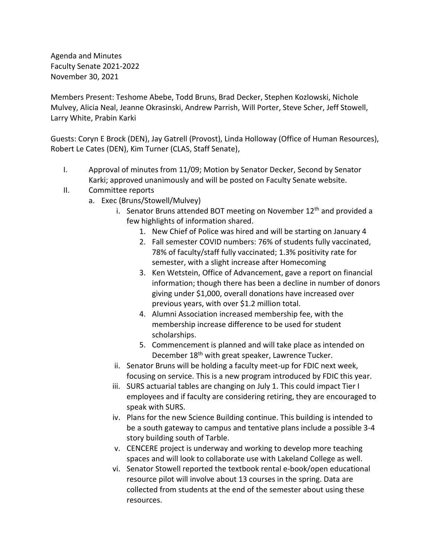Agenda and Minutes Faculty Senate 2021-2022 November 30, 2021

Members Present: Teshome Abebe, Todd Bruns, Brad Decker, Stephen Kozlowski, Nichole Mulvey, Alicia Neal, Jeanne Okrasinski, Andrew Parrish, Will Porter, Steve Scher, Jeff Stowell, Larry White, Prabin Karki

Guests: Coryn E Brock (DEN), Jay Gatrell (Provost), Linda Holloway (Office of Human Resources), Robert Le Cates (DEN), Kim Turner (CLAS, Staff Senate),

- I. Approval of minutes from 11/09; Motion by Senator Decker, Second by Senator Karki; approved unanimously and will be posted on Faculty Senate website.
- II. Committee reports
	- a. Exec (Bruns/Stowell/Mulvey)
		- i. Senator Bruns attended BOT meeting on November  $12<sup>th</sup>$  and provided a few highlights of information shared.
			- 1. New Chief of Police was hired and will be starting on January 4
			- 2. Fall semester COVID numbers: 76% of students fully vaccinated, 78% of faculty/staff fully vaccinated; 1.3% positivity rate for semester, with a slight increase after Homecoming
			- 3. Ken Wetstein, Office of Advancement, gave a report on financial information; though there has been a decline in number of donors giving under \$1,000, overall donations have increased over previous years, with over \$1.2 million total.
			- 4. Alumni Association increased membership fee, with the membership increase difference to be used for student scholarships.
			- 5. Commencement is planned and will take place as intended on December 18<sup>th</sup> with great speaker, Lawrence Tucker.
		- ii. Senator Bruns will be holding a faculty meet-up for FDIC next week, focusing on service. This is a new program introduced by FDIC this year.
		- iii. SURS actuarial tables are changing on July 1. This could impact Tier I employees and if faculty are considering retiring, they are encouraged to speak with SURS.
		- iv. Plans for the new Science Building continue. This building is intended to be a south gateway to campus and tentative plans include a possible 3-4 story building south of Tarble.
		- v. CENCERE project is underway and working to develop more teaching spaces and will look to collaborate use with Lakeland College as well.
		- vi. Senator Stowell reported the textbook rental e-book/open educational resource pilot will involve about 13 courses in the spring. Data are collected from students at the end of the semester about using these resources.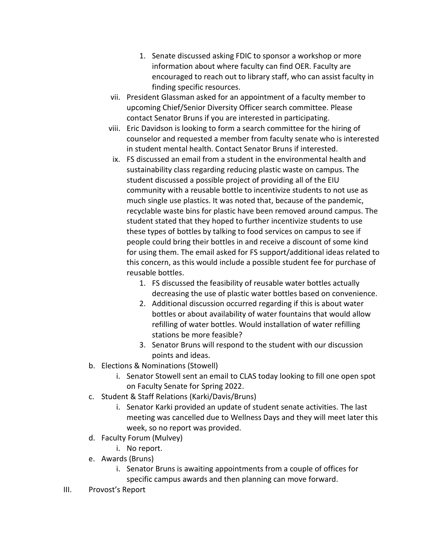- 1. Senate discussed asking FDIC to sponsor a workshop or more information about where faculty can find OER. Faculty are encouraged to reach out to library staff, who can assist faculty in finding specific resources.
- vii. President Glassman asked for an appointment of a faculty member to upcoming Chief/Senior Diversity Officer search committee. Please contact Senator Bruns if you are interested in participating.
- viii. Eric Davidson is looking to form a search committee for the hiring of counselor and requested a member from faculty senate who is interested in student mental health. Contact Senator Bruns if interested.
- ix. FS discussed an email from a student in the environmental health and sustainability class regarding reducing plastic waste on campus. The student discussed a possible project of providing all of the EIU community with a reusable bottle to incentivize students to not use as much single use plastics. It was noted that, because of the pandemic, recyclable waste bins for plastic have been removed around campus. The student stated that they hoped to further incentivize students to use these types of bottles by talking to food services on campus to see if people could bring their bottles in and receive a discount of some kind for using them. The email asked for FS support/additional ideas related to this concern, as this would include a possible student fee for purchase of reusable bottles.
	- 1. FS discussed the feasibility of reusable water bottles actually decreasing the use of plastic water bottles based on convenience.
	- 2. Additional discussion occurred regarding if this is about water bottles or about availability of water fountains that would allow refilling of water bottles. Would installation of water refilling stations be more feasible?
	- 3. Senator Bruns will respond to the student with our discussion points and ideas.
- b. Elections & Nominations (Stowell)
	- i. Senator Stowell sent an email to CLAS today looking to fill one open spot on Faculty Senate for Spring 2022.
- c. Student & Staff Relations (Karki/Davis/Bruns)
	- i. Senator Karki provided an update of student senate activities. The last meeting was cancelled due to Wellness Days and they will meet later this week, so no report was provided.
- d. Faculty Forum (Mulvey)
	- i. No report.
- e. Awards (Bruns)
	- i. Senator Bruns is awaiting appointments from a couple of offices for specific campus awards and then planning can move forward.
- III. Provost's Report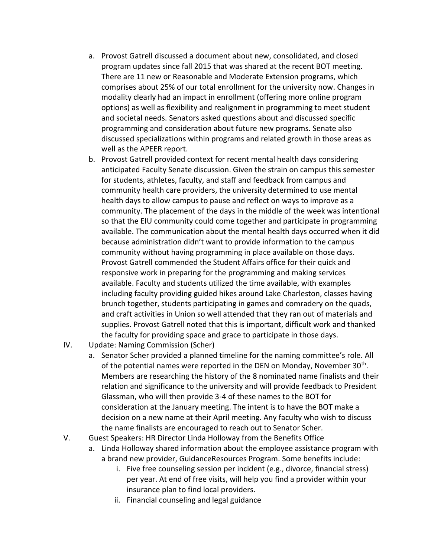- a. Provost Gatrell discussed a document about new, consolidated, and closed program updates since fall 2015 that was shared at the recent BOT meeting. There are 11 new or Reasonable and Moderate Extension programs, which comprises about 25% of our total enrollment for the university now. Changes in modality clearly had an impact in enrollment (offering more online program options) as well as flexibility and realignment in programming to meet student and societal needs. Senators asked questions about and discussed specific programming and consideration about future new programs. Senate also discussed specializations within programs and related growth in those areas as well as the APEER report.
- b. Provost Gatrell provided context for recent mental health days considering anticipated Faculty Senate discussion. Given the strain on campus this semester for students, athletes, faculty, and staff and feedback from campus and community health care providers, the university determined to use mental health days to allow campus to pause and reflect on ways to improve as a community. The placement of the days in the middle of the week was intentional so that the EIU community could come together and participate in programming available. The communication about the mental health days occurred when it did because administration didn't want to provide information to the campus community without having programming in place available on those days. Provost Gatrell commended the Student Affairs office for their quick and responsive work in preparing for the programming and making services available. Faculty and students utilized the time available, with examples including faculty providing guided hikes around Lake Charleston, classes having brunch together, students participating in games and comradery on the quads, and craft activities in Union so well attended that they ran out of materials and supplies. Provost Gatrell noted that this is important, difficult work and thanked the faculty for providing space and grace to participate in those days.
- IV. Update: Naming Commission (Scher)
	- a. Senator Scher provided a planned timeline for the naming committee's role. All of the potential names were reported in the DEN on Monday, November 30<sup>th</sup>. Members are researching the history of the 8 nominated name finalists and their relation and significance to the university and will provide feedback to President Glassman, who will then provide 3-4 of these names to the BOT for consideration at the January meeting. The intent is to have the BOT make a decision on a new name at their April meeting. Any faculty who wish to discuss the name finalists are encouraged to reach out to Senator Scher.
- V. Guest Speakers: HR Director Linda Holloway from the Benefits Office
	- a. Linda Holloway shared information about the employee assistance program with a brand new provider, GuidanceResources Program. Some benefits include:
		- i. Five free counseling session per incident (e.g., divorce, financial stress) per year. At end of free visits, will help you find a provider within your insurance plan to find local providers.
		- ii. Financial counseling and legal guidance